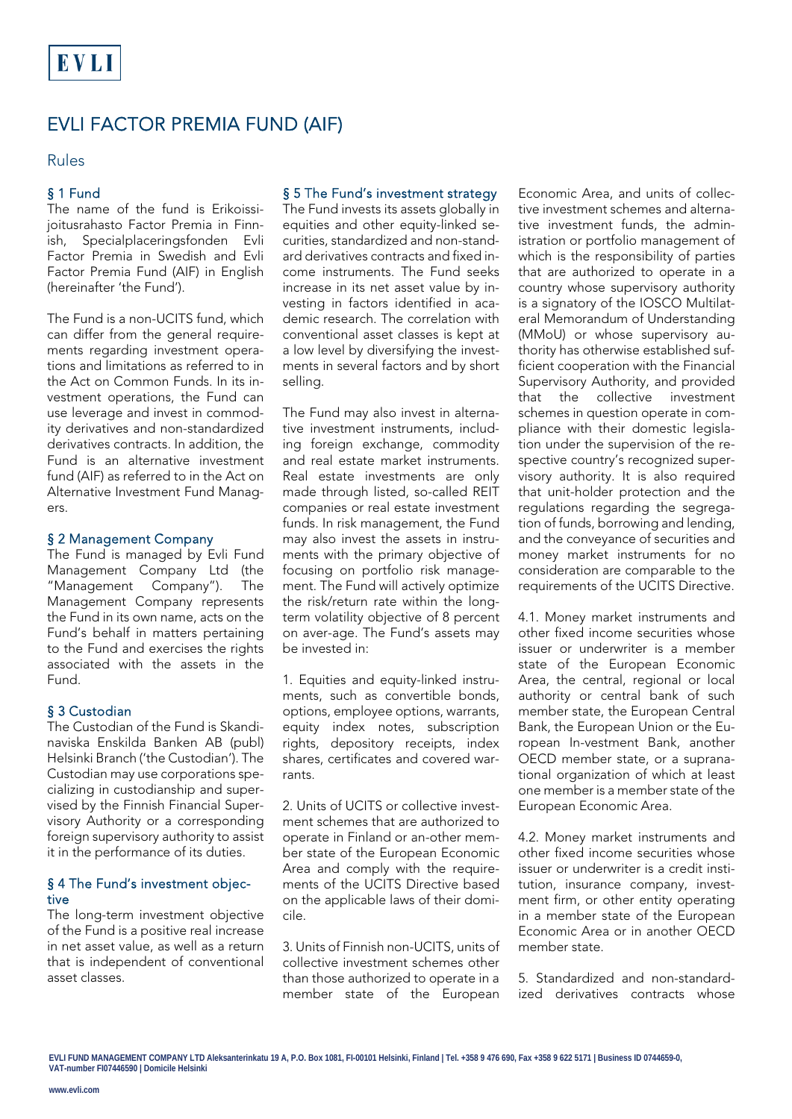# EVLI FACTOR PREMIA FUND (AIF)

## Rules

## § 1 Fund

The name of the fund is Erikoissijoitusrahasto Factor Premia in Finnish, Specialplaceringsfonden Evli Factor Premia in Swedish and Evli Factor Premia Fund (AIF) in English (hereinafter 'the Fund').

The Fund is a non-UCITS fund, which can differ from the general requirements regarding investment operations and limitations as referred to in the Act on Common Funds. In its investment operations, the Fund can use leverage and invest in commodity derivatives and non-standardized derivatives contracts. In addition, the Fund is an alternative investment fund (AIF) as referred to in the Act on Alternative Investment Fund Managers.

#### § 2 Management Company

The Fund is managed by Evli Fund Management Company Ltd (the "Management Company"). The Management Company represents the Fund in its own name, acts on the Fund's behalf in matters pertaining to the Fund and exercises the rights associated with the assets in the Fund.

## § 3 Custodian

The Custodian of the Fund is Skandinaviska Enskilda Banken AB (publ) Helsinki Branch ('the Custodian'). The Custodian may use corporations specializing in custodianship and supervised by the Finnish Financial Supervisory Authority or a corresponding foreign supervisory authority to assist it in the performance of its duties.

#### § 4 The Fund's investment objective

The long-term investment objective of the Fund is a positive real increase in net asset value, as well as a return that is independent of conventional asset classes.

## § 5 The Fund's investment strategy

The Fund invests its assets globally in equities and other equity-linked securities, standardized and non-standard derivatives contracts and fixed income instruments. The Fund seeks increase in its net asset value by investing in factors identified in academic research. The correlation with conventional asset classes is kept at a low level by diversifying the investments in several factors and by short selling.

The Fund may also invest in alternative investment instruments, including foreign exchange, commodity and real estate market instruments. Real estate investments are only made through listed, so-called REIT companies or real estate investment funds. In risk management, the Fund may also invest the assets in instruments with the primary objective of focusing on portfolio risk management. The Fund will actively optimize the risk/return rate within the longterm volatility objective of 8 percent on aver-age. The Fund's assets may be invested in:

1. Equities and equity-linked instruments, such as convertible bonds, options, employee options, warrants, equity index notes, subscription rights, depository receipts, index shares, certificates and covered warrants.

2. Units of UCITS or collective investment schemes that are authorized to operate in Finland or an-other member state of the European Economic Area and comply with the requirements of the UCITS Directive based on the applicable laws of their domicile.

3. Units of Finnish non-UCITS, units of collective investment schemes other than those authorized to operate in a member state of the European

Economic Area, and units of collective investment schemes and alternative investment funds, the administration or portfolio management of which is the responsibility of parties that are authorized to operate in a country whose supervisory authority is a signatory of the IOSCO Multilateral Memorandum of Understanding (MMoU) or whose supervisory authority has otherwise established sufficient cooperation with the Financial Supervisory Authority, and provided that the collective investment schemes in question operate in compliance with their domestic legislation under the supervision of the respective country's recognized supervisory authority. It is also required that unit-holder protection and the regulations regarding the segregation of funds, borrowing and lending, and the conveyance of securities and money market instruments for no consideration are comparable to the requirements of the UCITS Directive.

4.1. Money market instruments and other fixed income securities whose issuer or underwriter is a member state of the European Economic Area, the central, regional or local authority or central bank of such member state, the European Central Bank, the European Union or the European In-vestment Bank, another OECD member state, or a supranational organization of which at least one member is a member state of the European Economic Area.

4.2. Money market instruments and other fixed income securities whose issuer or underwriter is a credit institution, insurance company, investment firm, or other entity operating in a member state of the European Economic Area or in another OECD member state.

5. Standardized and non-standardized derivatives contracts whose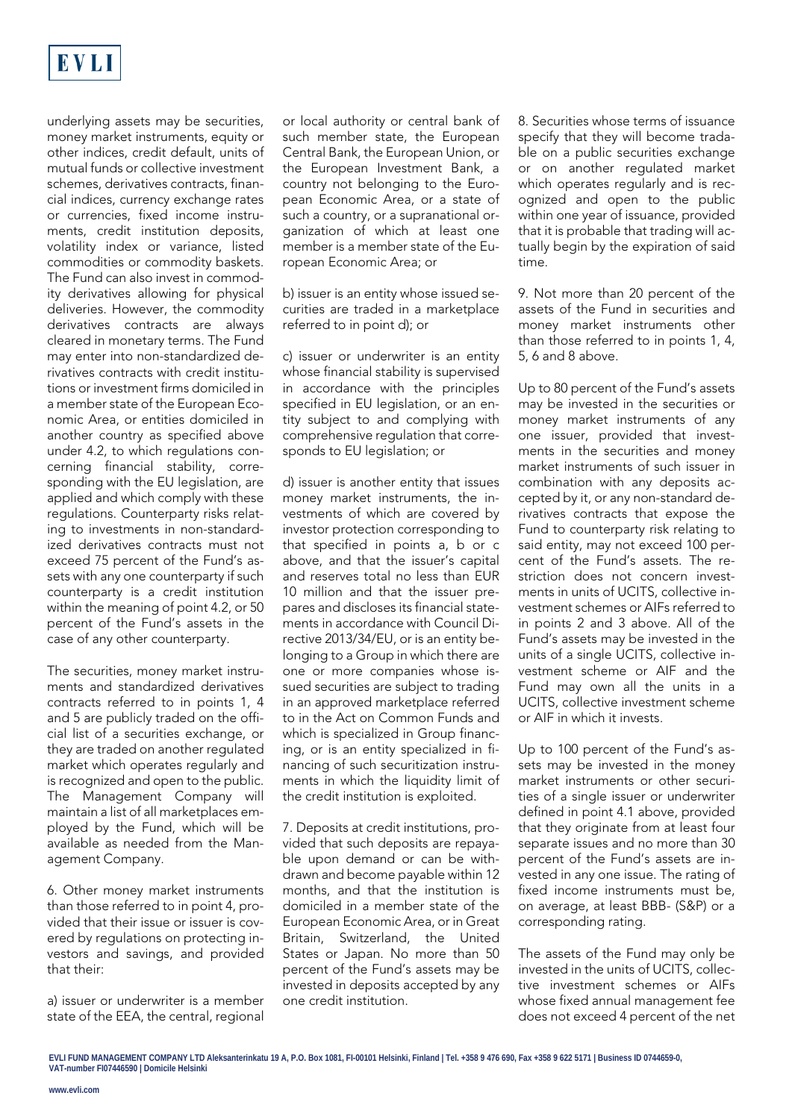

underlying assets may be securities, money market instruments, equity or other indices, credit default, units of mutual funds or collective investment schemes, derivatives contracts, financial indices, currency exchange rates or currencies, fixed income instruments, credit institution deposits, volatility index or variance, listed commodities or commodity baskets. The Fund can also invest in commodity derivatives allowing for physical deliveries. However, the commodity derivatives contracts are always cleared in monetary terms. The Fund may enter into non-standardized derivatives contracts with credit institutions or investment firms domiciled in a member state of the European Economic Area, or entities domiciled in another country as specified above under 4.2, to which regulations concerning financial stability, corresponding with the EU legislation, are applied and which comply with these regulations. Counterparty risks relating to investments in non-standardized derivatives contracts must not exceed 75 percent of the Fund's assets with any one counterparty if such counterparty is a credit institution within the meaning of point 4.2, or 50 percent of the Fund's assets in the case of any other counterparty.

The securities, money market instruments and standardized derivatives contracts referred to in points 1, 4 and 5 are publicly traded on the official list of a securities exchange, or they are traded on another regulated market which operates regularly and is recognized and open to the public. The Management Company will maintain a list of all marketplaces employed by the Fund, which will be available as needed from the Management Company.

6. Other money market instruments than those referred to in point 4, provided that their issue or issuer is covered by regulations on protecting investors and savings, and provided that their:

a) issuer or underwriter is a member state of the EEA, the central, regional

or local authority or central bank of such member state, the European Central Bank, the European Union, or the European Investment Bank, a country not belonging to the European Economic Area, or a state of such a country, or a supranational organization of which at least one member is a member state of the European Economic Area; or

b) issuer is an entity whose issued securities are traded in a marketplace referred to in point d); or

c) issuer or underwriter is an entity whose financial stability is supervised in accordance with the principles specified in EU legislation, or an entity subject to and complying with comprehensive regulation that corresponds to EU legislation; or

d) issuer is another entity that issues money market instruments, the investments of which are covered by investor protection corresponding to that specified in points a, b or c above, and that the issuer's capital and reserves total no less than EUR 10 million and that the issuer prepares and discloses its financial statements in accordance with Council Directive 2013/34/EU, or is an entity belonging to a Group in which there are one or more companies whose issued securities are subject to trading in an approved marketplace referred to in the Act on Common Funds and which is specialized in Group financing, or is an entity specialized in financing of such securitization instruments in which the liquidity limit of the credit institution is exploited.

7. Deposits at credit institutions, provided that such deposits are repayable upon demand or can be withdrawn and become payable within 12 months, and that the institution is domiciled in a member state of the European Economic Area, or in Great Britain, Switzerland, the United States or Japan. No more than 50 percent of the Fund's assets may be invested in deposits accepted by any one credit institution.

8. Securities whose terms of issuance specify that they will become tradable on a public securities exchange or on another regulated market which operates regularly and is recognized and open to the public within one year of issuance, provided that it is probable that trading will actually begin by the expiration of said time.

9. Not more than 20 percent of the assets of the Fund in securities and money market instruments other than those referred to in points 1, 4, 5, 6 and 8 above.

Up to 80 percent of the Fund's assets may be invested in the securities or money market instruments of any one issuer, provided that investments in the securities and money market instruments of such issuer in combination with any deposits accepted by it, or any non-standard derivatives contracts that expose the Fund to counterparty risk relating to said entity, may not exceed 100 percent of the Fund's assets. The restriction does not concern investments in units of UCITS, collective investment schemes or AIFs referred to in points 2 and 3 above. All of the Fund's assets may be invested in the units of a single UCITS, collective investment scheme or AIF and the Fund may own all the units in a UCITS, collective investment scheme or AIF in which it invests.

Up to 100 percent of the Fund's assets may be invested in the money market instruments or other securities of a single issuer or underwriter defined in point 4.1 above, provided that they originate from at least four separate issues and no more than 30 percent of the Fund's assets are invested in any one issue. The rating of fixed income instruments must be, on average, at least BBB- (S&P) or a corresponding rating.

The assets of the Fund may only be invested in the units of UCITS, collective investment schemes or AIFs whose fixed annual management fee does not exceed 4 percent of the net

**EVLI FUND MANAGEMENT COMPANY LTD Aleksanterinkatu 19 A, P.O. Box 1081, FI-00101 Helsinki, Finland | Tel. +358 9 476 690, Fax +358 9 622 5171 | Business ID 0744659-0, VAT-number FI07446590 | Domicile Helsinki**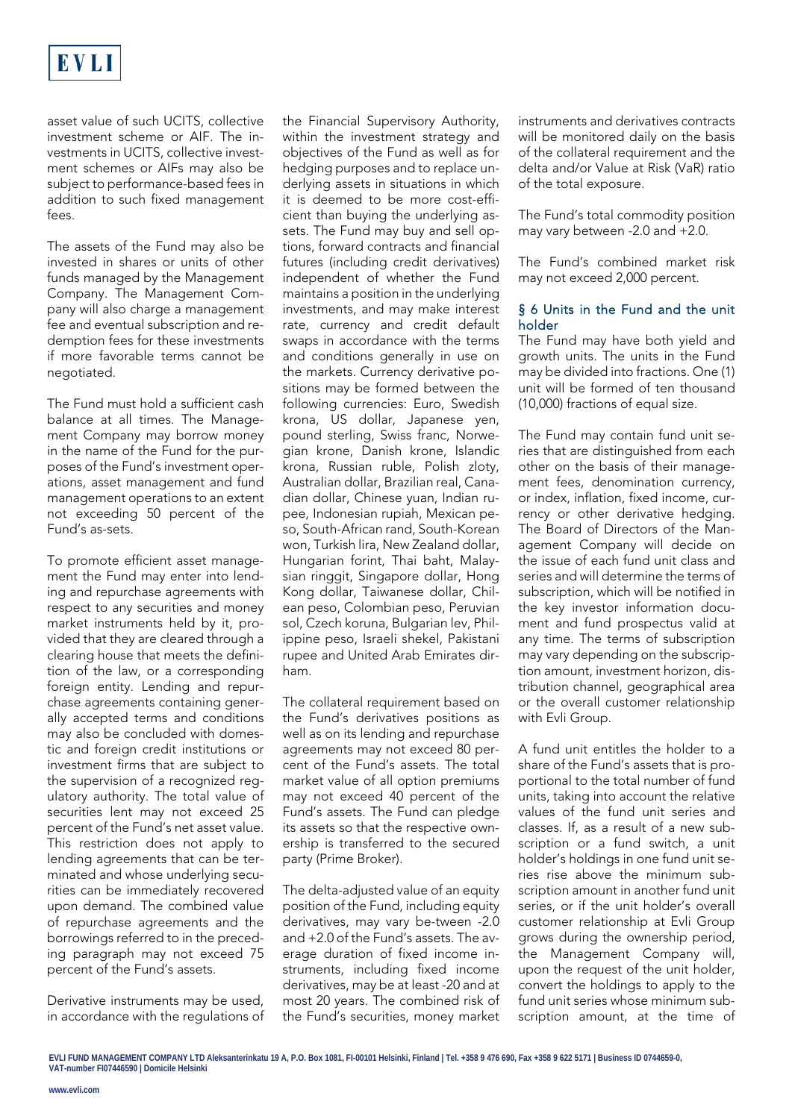

asset value of such UCITS, collective investment scheme or AIF. The investments in UCITS, collective investment schemes or AIFs may also be subject to performance-based fees in addition to such fixed management  $f_{\text{max}}$ 

The assets of the Fund may also be invested in shares or units of other funds managed by the Management Company. The Management Company will also charge a management fee and eventual subscription and redemption fees for these investments if more favorable terms cannot be negotiated.

The Fund must hold a sufficient cash balance at all times. The Management Company may borrow money in the name of the Fund for the purposes of the Fund's investment operations, asset management and fund management operations to an extent not exceeding 50 percent of the Fund's as-sets.

To promote efficient asset management the Fund may enter into lending and repurchase agreements with respect to any securities and money market instruments held by it, provided that they are cleared through a clearing house that meets the definition of the law, or a corresponding foreign entity. Lending and repurchase agreements containing generally accepted terms and conditions may also be concluded with domestic and foreign credit institutions or investment firms that are subject to the supervision of a recognized regulatory authority. The total value of securities lent may not exceed 25 percent of the Fund's net asset value. This restriction does not apply to lending agreements that can be terminated and whose underlying securities can be immediately recovered upon demand. The combined value of repurchase agreements and the borrowings referred to in the preceding paragraph may not exceed 75 percent of the Fund's assets.

Derivative instruments may be used, in accordance with the regulations of the Financial Supervisory Authority, within the investment strategy and objectives of the Fund as well as for hedging purposes and to replace underlying assets in situations in which it is deemed to be more cost-efficient than buying the underlying assets. The Fund may buy and sell options, forward contracts and financial futures (including credit derivatives) independent of whether the Fund maintains a position in the underlying investments, and may make interest rate, currency and credit default swaps in accordance with the terms and conditions generally in use on the markets. Currency derivative positions may be formed between the following currencies: Euro, Swedish krona, US dollar, Japanese yen, pound sterling, Swiss franc, Norwegian krone, Danish krone, Islandic krona, Russian ruble, Polish zloty, Australian dollar, Brazilian real, Canadian dollar, Chinese yuan, Indian rupee, Indonesian rupiah, Mexican peso, South-African rand, South-Korean won, Turkish lira, New Zealand dollar, Hungarian forint, Thai baht, Malaysian ringgit, Singapore dollar, Hong Kong dollar, Taiwanese dollar, Chilean peso, Colombian peso, Peruvian sol, Czech koruna, Bulgarian lev, Philippine peso, Israeli shekel, Pakistani rupee and United Arab Emirates dirham.

The collateral requirement based on the Fund's derivatives positions as well as on its lending and repurchase agreements may not exceed 80 percent of the Fund's assets. The total market value of all option premiums may not exceed 40 percent of the Fund's assets. The Fund can pledge its assets so that the respective ownership is transferred to the secured party (Prime Broker).

The delta-adjusted value of an equity position of the Fund, including equity derivatives, may vary be-tween -2.0 and +2.0 of the Fund's assets. The average duration of fixed income instruments, including fixed income derivatives, may be at least -20 and at most 20 years. The combined risk of the Fund's securities, money market

instruments and derivatives contracts will be monitored daily on the basis of the collateral requirement and the delta and/or Value at Risk (VaR) ratio of the total exposure.

The Fund's total commodity position may vary between -2.0 and +2.0.

The Fund's combined market risk may not exceed 2,000 percent.

#### § 6 Units in the Fund and the unit holder

The Fund may have both yield and growth units. The units in the Fund may be divided into fractions. One (1) unit will be formed of ten thousand (10,000) fractions of equal size.

The Fund may contain fund unit series that are distinguished from each other on the basis of their management fees, denomination currency, or index, inflation, fixed income, currency or other derivative hedging. The Board of Directors of the Management Company will decide on the issue of each fund unit class and series and will determine the terms of subscription, which will be notified in the key investor information document and fund prospectus valid at any time. The terms of subscription may vary depending on the subscription amount, investment horizon, distribution channel, geographical area or the overall customer relationship with Evli Group.

A fund unit entitles the holder to a share of the Fund's assets that is proportional to the total number of fund units, taking into account the relative values of the fund unit series and classes. If, as a result of a new subscription or a fund switch, a unit holder's holdings in one fund unit series rise above the minimum subscription amount in another fund unit series, or if the unit holder's overall customer relationship at Evli Group grows during the ownership period, the Management Company will, upon the request of the unit holder, convert the holdings to apply to the fund unit series whose minimum subscription amount, at the time of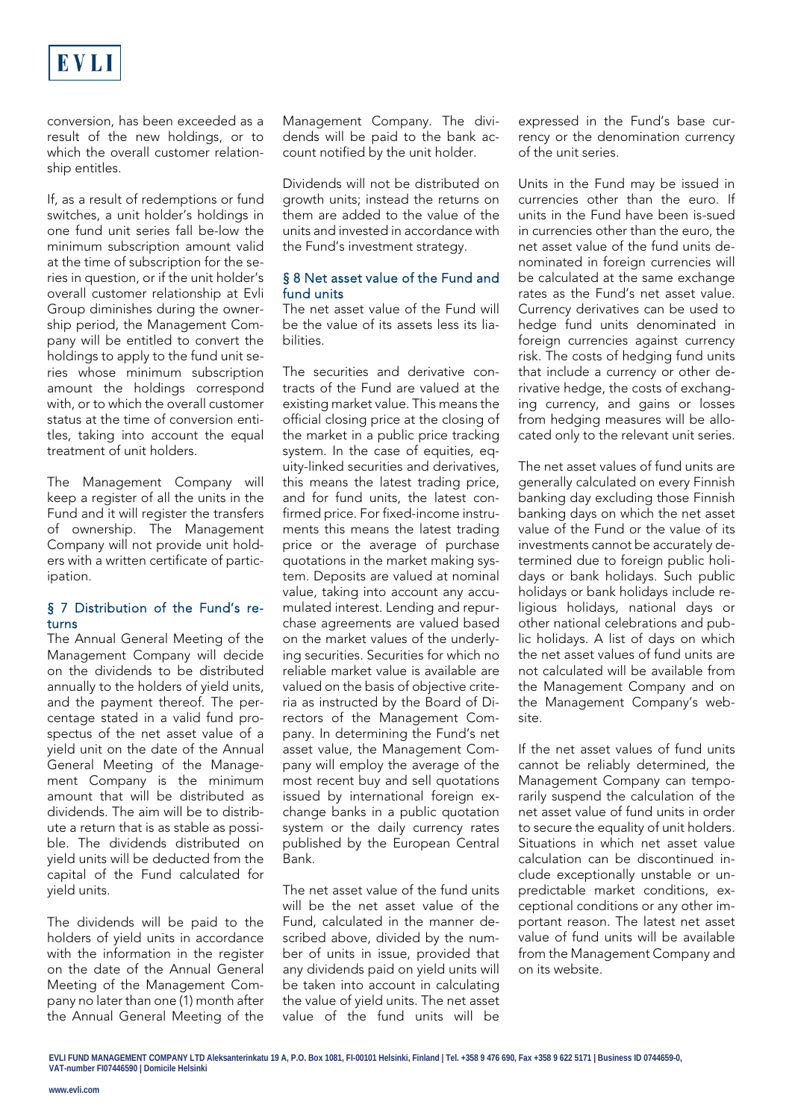

conversion, has been exceeded as a result of the new holdings, or to which the overall customer relationship entitles.

If, as a result of redemptions or fund switches, a unit holder's holdings in one fund unit series fall be-low the minimum subscription amount valid at the time of subscription for the series in question, or if the unit holder's overall customer relationship at Evli Group diminishes during the ownership period, the Management Company will be entitled to convert the holdings to apply to the fund unit series whose minimum subscription amount the holdings correspond with, or to which the overall customer status at the time of conversion entitles, taking into account the equal treatment of unit holders.

The Management Company will keep a register of all the units in the Fund and it will register the transfers of ownership. The Management Company will not provide unit holders with a written certificate of participation.

#### § 7 Distribution of the Fund's returns

The Annual General Meeting of the Management Company will decide on the dividends to be distributed annually to the holders of yield units, and the payment thereof. The percentage stated in a valid fund prospectus of the net asset value of a yield unit on the date of the Annual General Meeting of the Management Company is the minimum amount that will be distributed as dividends. The aim will be to distribute a return that is as stable as possible. The dividends distributed on yield units will be deducted from the capital of the Fund calculated for yield units.

The dividends will be paid to the holders of yield units in accordance with the information in the register on the date of the Annual General Meeting of the Management Company no later than one (1) month after the Annual General Meeting of the

Management Company. The dividends will be paid to the bank account notified by the unit holder.

Dividends will not be distributed on growth units; instead the returns on them are added to the value of the units and invested in accordance with the Fund's investment strategy.

## § 8 Net asset value of the Fund and fund units

The net asset value of the Fund will be the value of its assets less its liabilities.

The securities and derivative contracts of the Fund are valued at the existing market value. This means the official closing price at the closing of the market in a public price tracking system. In the case of equities, equity-linked securities and derivatives, this means the latest trading price, and for fund units, the latest confirmed price. For fixed-income instruments this means the latest trading price or the average of purchase quotations in the market making system. Deposits are valued at nominal value, taking into account any accumulated interest. Lending and repurchase agreements are valued based on the market values of the underlying securities. Securities for which no reliable market value is available are valued on the basis of objective criteria as instructed by the Board of Directors of the Management Company. In determining the Fund's net asset value, the Management Company will employ the average of the most recent buy and sell quotations issued by international foreign exchange banks in a public quotation system or the daily currency rates published by the European Central Bank.

The net asset value of the fund units will be the net asset value of the Fund, calculated in the manner described above, divided by the number of units in issue, provided that any dividends paid on yield units will be taken into account in calculating the value of yield units. The net asset value of the fund units will be expressed in the Fund's base currency or the denomination currency of the unit series.

Units in the Fund may be issued in currencies other than the euro. If units in the Fund have been is-sued in currencies other than the euro, the net asset value of the fund units denominated in foreign currencies will be calculated at the same exchange rates as the Fund's net asset value. Currency derivatives can be used to hedge fund units denominated in foreign currencies against currency risk. The costs of hedging fund units that include a currency or other derivative hedge, the costs of exchanging currency, and gains or losses from hedging measures will be allocated only to the relevant unit series.

The net asset values of fund units are generally calculated on every Finnish banking day excluding those Finnish banking days on which the net asset value of the Fund or the value of its investments cannot be accurately determined due to foreign public holidays or bank holidays. Such public holidays or bank holidays include religious holidays, national days or other national celebrations and public holidays. A list of days on which the net asset values of fund units are not calculated will be available from the Management Company and on the Management Company's website.

If the net asset values of fund units cannot be reliably determined, the Management Company can temporarily suspend the calculation of the net asset value of fund units in order to secure the equality of unit holders. Situations in which net asset value calculation can be discontinued include exceptionally unstable or unpredictable market conditions, exceptional conditions or any other important reason. The latest net asset value of fund units will be available from the Management Company and on its website.

**EVLI FUND MANAGEMENT COMPANY LTD Aleksanterinkatu 19 A, P.O. Box 1081, FI-00101 Helsinki, Finland | Tel. +358 9 476 690, Fax +358 9 622 5171 | Business ID 0744659-0, VAT-number FI07446590 | Domicile Helsinki**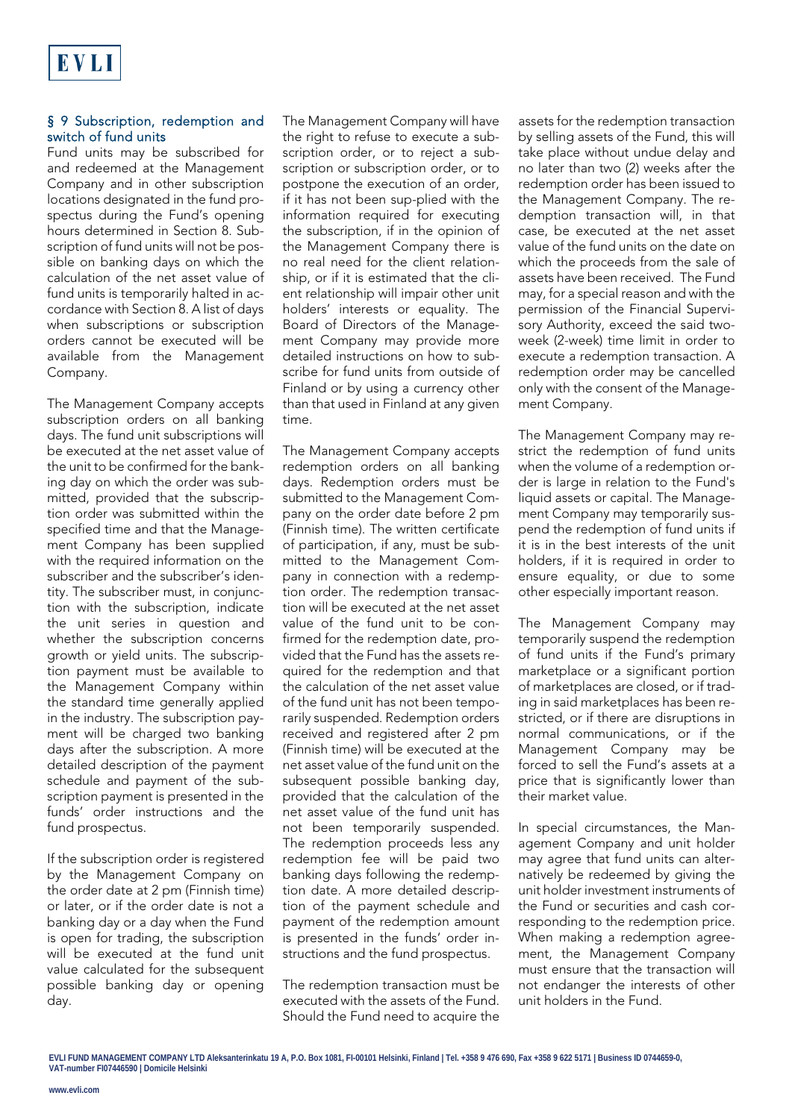## § 9 Subscription, redemption and switch of fund units

Fund units may be subscribed for and redeemed at the Management Company and in other subscription locations designated in the fund prospectus during the Fund's opening hours determined in Section 8. Subscription of fund units will not be possible on banking days on which the calculation of the net asset value of fund units is temporarily halted in accordance with Section 8. A list of days when subscriptions or subscription orders cannot be executed will be available from the Management Company.

The Management Company accepts subscription orders on all banking days. The fund unit subscriptions will be executed at the net asset value of the unit to be confirmed for the banking day on which the order was submitted, provided that the subscription order was submitted within the specified time and that the Management Company has been supplied with the required information on the subscriber and the subscriber's identity. The subscriber must, in conjunction with the subscription, indicate the unit series in question and whether the subscription concerns growth or yield units. The subscription payment must be available to the Management Company within the standard time generally applied in the industry. The subscription payment will be charged two banking days after the subscription. A more detailed description of the payment schedule and payment of the subscription payment is presented in the funds' order instructions and the fund prospectus.

If the subscription order is registered by the Management Company on the order date at 2 pm (Finnish time) or later, or if the order date is not a banking day or a day when the Fund is open for trading, the subscription will be executed at the fund unit value calculated for the subsequent possible banking day or opening day.

The Management Company will have the right to refuse to execute a subscription order, or to reject a subscription or subscription order, or to postpone the execution of an order, if it has not been sup-plied with the information required for executing the subscription, if in the opinion of the Management Company there is no real need for the client relationship, or if it is estimated that the client relationship will impair other unit holders' interests or equality. The Board of Directors of the Management Company may provide more detailed instructions on how to subscribe for fund units from outside of Finland or by using a currency other than that used in Finland at any given time.

The Management Company accepts redemption orders on all banking days. Redemption orders must be submitted to the Management Company on the order date before 2 pm (Finnish time). The written certificate of participation, if any, must be submitted to the Management Company in connection with a redemption order. The redemption transaction will be executed at the net asset value of the fund unit to be confirmed for the redemption date, provided that the Fund has the assets required for the redemption and that the calculation of the net asset value of the fund unit has not been temporarily suspended. Redemption orders received and registered after 2 pm (Finnish time) will be executed at the net asset value of the fund unit on the subsequent possible banking day, provided that the calculation of the net asset value of the fund unit has not been temporarily suspended. The redemption proceeds less any redemption fee will be paid two banking days following the redemption date. A more detailed description of the payment schedule and payment of the redemption amount is presented in the funds' order instructions and the fund prospectus.

The redemption transaction must be executed with the assets of the Fund. Should the Fund need to acquire the assets for the redemption transaction by selling assets of the Fund, this will take place without undue delay and no later than two (2) weeks after the redemption order has been issued to the Management Company. The redemption transaction will, in that case, be executed at the net asset value of the fund units on the date on which the proceeds from the sale of assets have been received. The Fund may, for a special reason and with the permission of the Financial Supervisory Authority, exceed the said twoweek (2-week) time limit in order to execute a redemption transaction. A redemption order may be cancelled only with the consent of the Management Company.

The Management Company may restrict the redemption of fund units when the volume of a redemption order is large in relation to the Fund's liquid assets or capital. The Management Company may temporarily suspend the redemption of fund units if it is in the best interests of the unit holders, if it is required in order to ensure equality, or due to some other especially important reason.

The Management Company may temporarily suspend the redemption of fund units if the Fund's primary marketplace or a significant portion of marketplaces are closed, or if trading in said marketplaces has been restricted, or if there are disruptions in normal communications, or if the Management Company may be forced to sell the Fund's assets at a price that is significantly lower than their market value.

In special circumstances, the Management Company and unit holder may agree that fund units can alternatively be redeemed by giving the unit holder investment instruments of the Fund or securities and cash corresponding to the redemption price. When making a redemption agreement, the Management Company must ensure that the transaction will not endanger the interests of other unit holders in the Fund.

**EVLI FUND MANAGEMENT COMPANY LTD Aleksanterinkatu 19 A, P.O. Box 1081, FI-00101 Helsinki, Finland | Tel. +358 9 476 690, Fax +358 9 622 5171 | Business ID 0744659-0, VAT-number FI07446590 | Domicile Helsinki**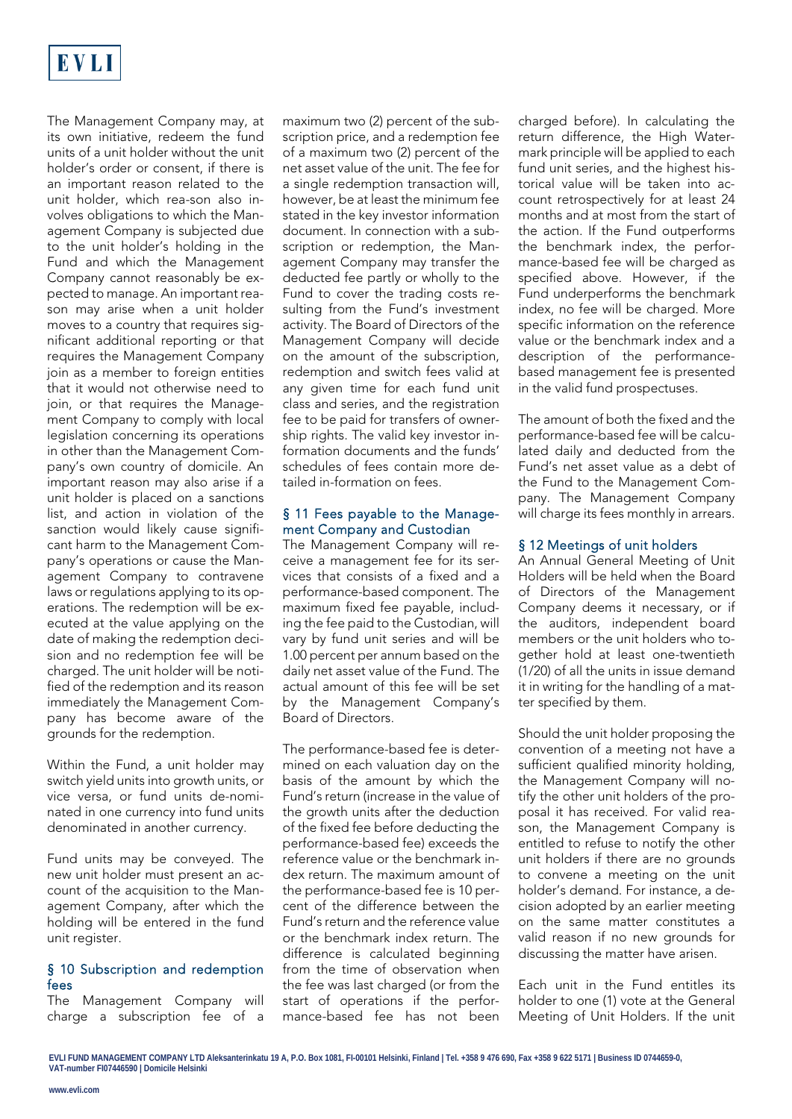

The Management Company may, at its own initiative, redeem the fund units of a unit holder without the unit holder's order or consent, if there is an important reason related to the unit holder, which rea-son also involves obligations to which the Management Company is subjected due to the unit holder's holding in the Fund and which the Management Company cannot reasonably be expected to manage. An important reason may arise when a unit holder moves to a country that requires significant additional reporting or that requires the Management Company join as a member to foreign entities that it would not otherwise need to join, or that requires the Management Company to comply with local legislation concerning its operations in other than the Management Company's own country of domicile. An important reason may also arise if a unit holder is placed on a sanctions list, and action in violation of the sanction would likely cause significant harm to the Management Company's operations or cause the Management Company to contravene laws or regulations applying to its operations. The redemption will be executed at the value applying on the date of making the redemption decision and no redemption fee will be charged. The unit holder will be notified of the redemption and its reason immediately the Management Company has become aware of the grounds for the redemption.

Within the Fund, a unit holder may switch yield units into growth units, or vice versa, or fund units de-nominated in one currency into fund units denominated in another currency.

Fund units may be conveyed. The new unit holder must present an account of the acquisition to the Management Company, after which the holding will be entered in the fund unit register.

## § 10 Subscription and redemption fees

The Management Company will charge a subscription fee of a maximum two (2) percent of the subscription price, and a redemption fee of a maximum two (2) percent of the net asset value of the unit. The fee for a single redemption transaction will, however, be at least the minimum fee stated in the key investor information document. In connection with a subscription or redemption, the Management Company may transfer the deducted fee partly or wholly to the Fund to cover the trading costs resulting from the Fund's investment activity. The Board of Directors of the Management Company will decide on the amount of the subscription, redemption and switch fees valid at any given time for each fund unit class and series, and the registration fee to be paid for transfers of ownership rights. The valid key investor information documents and the funds' schedules of fees contain more detailed in-formation on fees.

#### § 11 Fees payable to the Management Company and Custodian

The Management Company will receive a management fee for its services that consists of a fixed and a performance-based component. The maximum fixed fee payable, including the fee paid to the Custodian, will vary by fund unit series and will be 1.00 percent per annum based on the daily net asset value of the Fund. The actual amount of this fee will be set by the Management Company's Board of Directors.

The performance-based fee is determined on each valuation day on the basis of the amount by which the Fund's return (increase in the value of the growth units after the deduction of the fixed fee before deducting the performance-based fee) exceeds the reference value or the benchmark index return. The maximum amount of the performance-based fee is 10 percent of the difference between the Fund's return and the reference value or the benchmark index return. The difference is calculated beginning from the time of observation when the fee was last charged (or from the start of operations if the performance-based fee has not been

charged before). In calculating the return difference, the High Watermark principle will be applied to each fund unit series, and the highest historical value will be taken into account retrospectively for at least 24 months and at most from the start of the action. If the Fund outperforms the benchmark index, the performance-based fee will be charged as specified above. However, if the Fund underperforms the benchmark index, no fee will be charged. More specific information on the reference value or the benchmark index and a description of the performancebased management fee is presented in the valid fund prospectuses.

The amount of both the fixed and the performance-based fee will be calculated daily and deducted from the Fund's net asset value as a debt of the Fund to the Management Company. The Management Company will charge its fees monthly in arrears.

#### § 12 Meetings of unit holders

An Annual General Meeting of Unit Holders will be held when the Board of Directors of the Management Company deems it necessary, or if the auditors, independent board members or the unit holders who together hold at least one-twentieth (1/20) of all the units in issue demand it in writing for the handling of a matter specified by them.

Should the unit holder proposing the convention of a meeting not have a sufficient qualified minority holding, the Management Company will notify the other unit holders of the proposal it has received. For valid reason, the Management Company is entitled to refuse to notify the other unit holders if there are no grounds to convene a meeting on the unit holder's demand. For instance, a decision adopted by an earlier meeting on the same matter constitutes a valid reason if no new grounds for discussing the matter have arisen.

Each unit in the Fund entitles its holder to one (1) vote at the General Meeting of Unit Holders. If the unit